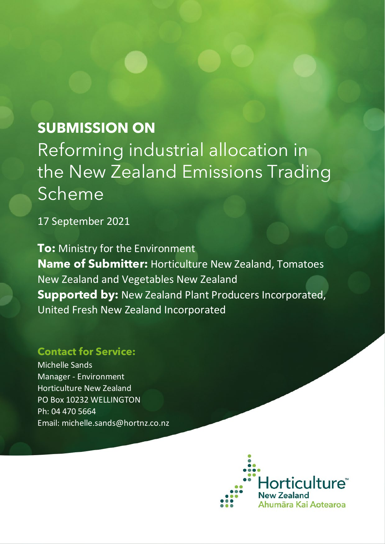## **SUBMISSION ON**

Reforming industrial allocation in the New Zealand Emissions Trading **Scheme** 

17 September 2021

**To:** Ministry for the Environment **Name of Submitter:** Horticulture New Zealand, Tomatoes New Zealand and Vegetables New Zealand **Supported by:** New Zealand Plant Producers Incorporated, United Fresh New Zealand Incorporated

## **Contact for Service:**

Michelle Sands Manager - Environment Horticulture New Zealand PO Box 10232 WELLINGTON Ph: 04 470 5664 Email: michelle.sands@hortnz.co.nz

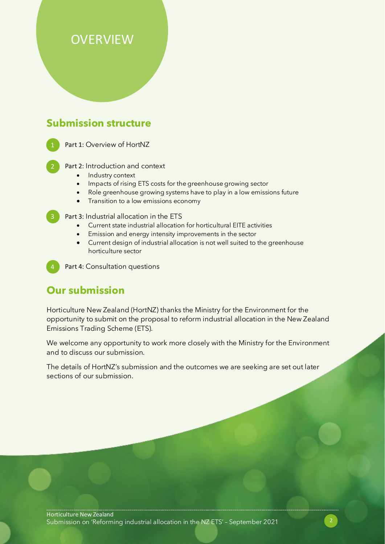## **OVERVIEW**

## **Submission structure**

Part 1: Overview of HortNZ

Part 2: Introduction and context

- Industry context
- Impacts of rising ETS costs for the greenhouse growing sector
- Role greenhouse growing systems have to play in a low emissions future
- Transition to a low emissions economy

3 Part 3: Industrial allocation in the ETS

- Current state industrial allocation for horticultural EITE activities
- Emission and energy intensity improvements in the sector
- Current design of industrial allocation is not well suited to the greenhouse horticulture sector

Part 4: Consultation questions

## **Our submission**

Horticulture New Zealand (HortNZ) thanks the Ministry for the Environment for the opportunity to submit on the proposal to reform industrial allocation in the New Zealand Emissions Trading Scheme (ETS).

We welcome any opportunity to work more closely with the Ministry for the Environment and to discuss our submission.

The details of HortNZ's submission and the outcomes we are seeking are set out later sections of our submission.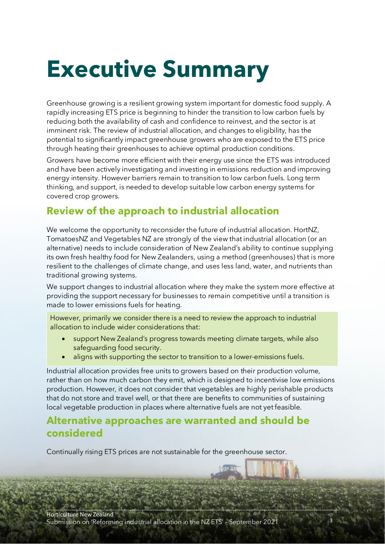## **Executive Summary**

Greenhouse growing is a resilient growing system important for domestic food supply. A rapidly increasing ETS price is beginning to hinder the transition to low carbon fuels by reducing both the availability of cash and confidence to reinvest, and the sector is at imminent risk. The review of industrial allocation, and changes to eligibility, has the potential to significantly impact greenhouse growers who are exposed to the ETS price through heating their greenhouses to achieve optimal production conditions.

Growers have become more efficient with their energy use since the ETS was introduced and have been actively investigating and investing in emissions reduction and improving energy intensity. However barriers remain to transition to low carbon fuels. Long term thinking, and support, is needed to develop suitable low carbon energy systems for covered crop growers.

## **Review of the approach to industrial allocation**

We welcome the opportunity to reconsider the future of industrial allocation. HortNZ, TomatoesNZ and Vegetables NZ are strongly of the view that industrial allocation (or an alternative) needs to include consideration of New Zealand's ability to continue supplying its own fresh healthy food for New Zealanders, using a method (greenhouses) that is more resilient to the challenges of climate change, and uses less land, water, and nutrients than traditional growing systems.

We support changes to industrial allocation where they make the system more effective at providing the support necessary for businesses to remain competitive until a transition is made to lower emissions fuels for heating.

However, primarily we consider there is a need to review the approach to industrial allocation to include wider considerations that:

- support New Zealand's progress towards meeting climate targets, while also safeguarding food security.
- aligns with supporting the sector to transition to a lower-emissions fuels.

Industrial allocation provides free units to growers based on their production volume, rather than on how much carbon they emit, which is designed to incentivise low emissions production. However, it does not consider that vegetables are highly perishable products that do not store and travel well, or that there are benefits to communities of sustaining local vegetable production in places where alternative fuels are not yet feasible.

## **Alternative approaches are warranted and should be considered**

Continually rising ETS prices are not sustainable for the greenhouse sector.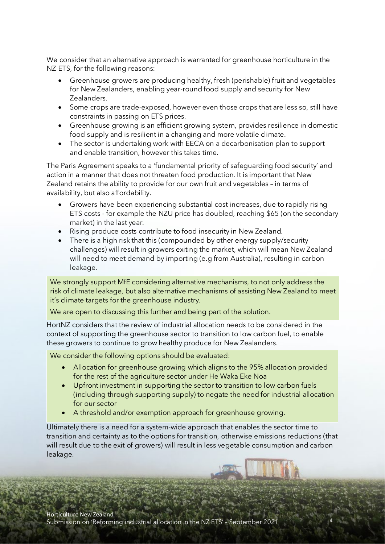We consider that an alternative approach is warranted for greenhouse horticulture in the NZ ETS, for the following reasons:

- Greenhouse growers are producing healthy, fresh (perishable) fruit and vegetables for New Zealanders, enabling year-round food supply and security for New Zealanders.
- Some crops are trade-exposed, however even those crops that are less so, still have constraints in passing on ETS prices.
- Greenhouse growing is an efficient growing system, provides resilience in domestic food supply and is resilient in a changing and more volatile climate.
- The sector is undertaking work with EECA on a decarbonisation plan to support and enable transition, however this takes time.

The Paris Agreement speaks to a 'fundamental priority of safeguarding food security' and action in a manner that does not threaten food production. It is important that New Zealand retains the ability to provide for our own fruit and vegetables – in terms of availability, but also affordability.

- Growers have been experiencing substantial cost increases, due to rapidly rising ETS costs - for example the NZU price has doubled, reaching \$65 (on the secondary market) in the last year.
- Rising produce costs contribute to food insecurity in New Zealand.
- There is a high risk that this (compounded by other energy supply/security challenges) will result in growers exiting the market, which will mean New Zealand will need to meet demand by importing (e.g from Australia), resulting in carbon leakage.

We strongly support MfE considering alternative mechanisms, to not only address the risk of climate leakage, but also alternative mechanisms of assisting New Zealand to meet it's climate targets for the greenhouse industry.

We are open to discussing this further and being part of the solution.

HortNZ considers that the review of industrial allocation needs to be considered in the context of supporting the greenhouse sector to transition to low carbon fuel, to enable these growers to continue to grow healthy produce for New Zealanders.

We consider the following options should be evaluated:

- Allocation for greenhouse growing which aligns to the 95% allocation provided for the rest of the agriculture sector under He Waka Eke Noa
- Upfront investment in supporting the sector to transition to low carbon fuels (including through supporting supply) to negate the need for industrial allocation for our sector
- A threshold and/or exemption approach for greenhouse growing.

Ultimately there is a need for a system-wide approach that enables the sector time to transition and certainty as to the options for transition, otherwise emissions reductions (that will result due to the exit of growers) will result in less vegetable consumption and carbon leakage.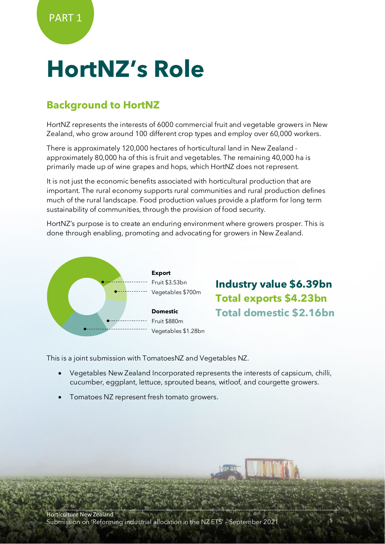## **HortNZ's Role**

## **Background to HortNZ**

HortNZ represents the interests of 6000 commercial fruit and vegetable growers in New Zealand, who grow around 100 different crop types and employ over 60,000 workers.

There is approximately 120,000 hectares of horticultural land in New Zealand approximately 80,000 ha of this is fruit and vegetables. The remaining 40,000 ha is primarily made up of wine grapes and hops, which HortNZ does not represent.

It is not just the economic benefits associated with horticultural production that are important. The rural economy supports rural communities and rural production defines much of the rural landscape. Food production values provide a platform for long term sustainability of communities, through the provision of food security.

HortNZ's purpose is to create an enduring environment where growers prosper. This is done through enabling, promoting and advocating for growers in New Zealand.



**Industry value \$6.39bn Total exports \$4.23bn Total domestic \$2.16bn**

This is a joint submission with TomatoesNZ and Vegetables NZ.

- Vegetables New Zealand Incorporated represents the interests of capsicum, chilli, cucumber, eggplant, lettuce, sprouted beans, witloof, and courgette growers.
- Tomatoes NZ represent fresh tomato growers.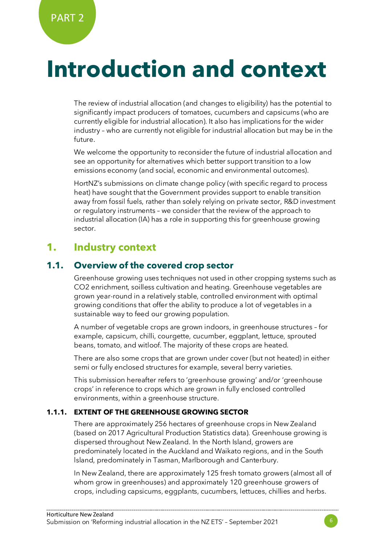## **Introduction and context**

The review of industrial allocation (and changes to eligibility) has the potential to significantly impact producers of tomatoes, cucumbers and capsicums (who are currently eligible for industrial allocation). It also has implications for the wider industry – who are currently not eligible for industrial allocation but may be in the future.

We welcome the opportunity to reconsider the future of industrial allocation and see an opportunity for alternatives which better support transition to a low emissions economy (and social, economic and environmental outcomes).

HortNZ's submissions on climate change policy (with specific regard to process heat) have sought that the Government provides support to enable transition away from fossil fuels, rather than solely relying on private sector, R&D investment or regulatory instruments – we consider that the review of the approach to industrial allocation (IA) has a role in supporting this for greenhouse growing sector.

## **1. Industry context**

### **1.1. Overview of the covered crop sector**

Greenhouse growing uses techniques not used in other cropping systems such as CO2 enrichment, soilless cultivation and heating. Greenhouse vegetables are grown year-round in a relatively stable, controlled environment with optimal growing conditions that offer the ability to produce a lot of vegetables in a sustainable way to feed our growing population.

A number of vegetable crops are grown indoors, in greenhouse structures – for example, capsicum, chilli, courgette, cucumber, eggplant, lettuce, sprouted beans, tomato, and witloof. The majority of these crops are heated.

There are also some crops that are grown under cover (but not heated) in either semi or fully enclosed structures for example, several berry varieties.

This submission hereafter refers to 'greenhouse growing' and/or 'greenhouse crops' in reference to crops which are grown in fully enclosed controlled environments, within a greenhouse structure.

#### **1.1.1. EXTENT OF THE GREENHOUSE GROWING SECTOR**

There are approximately 256 hectares of greenhouse crops in New Zealand (based on 2017 Agricultural Production Statistics data). Greenhouse growing is dispersed throughout New Zealand. In the North Island, growers are predominately located in the Auckland and Waikato regions, and in the South lsland, predominately in Tasman, Marlborough and Canterbury.

In New Zealand, there are approximately 125 fresh tomato growers (almost all of whom grow in greenhouses) and approximately 120 greenhouse growers of crops, including capsicums, eggplants, cucumbers, lettuces, chillies and herbs.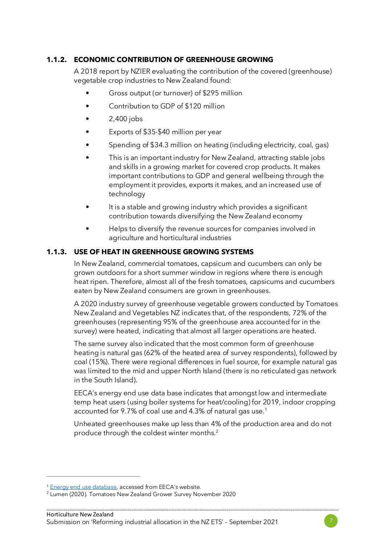#### **1.1.2. ECONOMIC CONTRIBUTION OF GREENHOUSE GROWING**

A 2018 report by NZIER evaluating the contribution of the covered (greenhouse) vegetable crop industries to New Zealand found:

- Gross output (or turnover) of \$295 million
- Contribution to GDP of \$120 million
- 2,400 jobs
- Exports of \$35-\$40 million per year
- Spending of \$34.3 million on heating (including electricity, coal, gas)
- This is an important industry for New Zealand, attracting stable jobs and skills in a growing market for covered crop products. It makes important contributions to GDP and general wellbeing through the employment it provides, exports it makes, and an increased use of technology
- It is a stable and growing industry which provides a significant contribution towards diversifying the New Zealand economy
- Helps to diversify the revenue sources for companies involved in agriculture and horticultural industries

#### **1.1.3. USE OF HEAT IN GREENHOUSE GROWING SYSTEMS**

In New Zealand, commercial tomatoes, capsicum and cucumbers can only be grown outdoors for a short summer window in regions where there is enough heat ripen. Therefore, almost all of the fresh tomatoes, capsicums and cucumbers eaten by New Zealand consumers are grown in greenhouses.

A 2020 industry survey of greenhouse vegetable growers conducted by Tomatoes New Zealand and Vegetables NZ indicates that, of the respondents, 72% of the greenhouses (representing 95% of the greenhouse area accounted for in the survey) were heated, indicating that almost all larger operations are heated.

The same survey also indicated that the most common form of greenhouse heating is natural gas (62% of the heated area of survey respondents), followed by coal (15%). There were regional differences in fuel source, for example natural gas was limited to the mid and upper North Island (there is no reticulated gas network in the South Island).

EECA's energy end use data base indicates that amongst low and intermediate temp heat users (using boiler systems for heat/cooling) for 2019, indoor cropping accounted for 9.7% of coal use and 4.3% of natural gas use.<sup>[1](#page-6-0)</sup>

Unheated greenhouses make up less than 4% of the production area and do not produce through the coldest winter months.[2](#page-6-1)



<span id="page-6-0"></span><sup>&</sup>lt;sup>1</sup> [Energy end use database,](https://tools.eeca.govt.nz/energy-end-use-database/?_gl=1*8w1sv3*_ga*NjUxMjY0MzEuMTYyMDY5OTk3Mw..*_ga_Z2WN2N1RFS*MTYzMDQ0NDg2Ni40LjEuMTYzMDQ0NDkwOC4xOA..&_ga=2.70210576.1692677252.1630444867-65126431.1620699973) accessed from EECA's website.

<span id="page-6-1"></span><sup>2</sup> Lumen (2020). Tomatoes New Zealand Grower Survey November 2020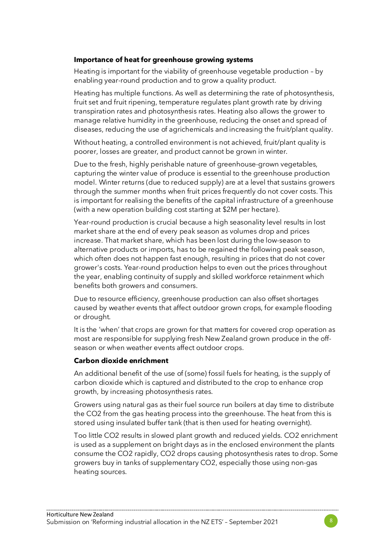#### **Importance of heat for greenhouse growing systems**

Heating is important for the viability of greenhouse vegetable production – by enabling year-round production and to grow a quality product.

Heating has multiple functions. As well as determining the rate of photosynthesis, fruit set and fruit ripening, temperature regulates plant growth rate by driving transpiration rates and photosynthesis rates. Heating also allows the grower to manage relative humidity in the greenhouse, reducing the onset and spread of diseases, reducing the use of agrichemicals and increasing the fruit/plant quality.

Without heating, a controlled environment is not achieved, fruit/plant quality is poorer, losses are greater, and product cannot be grown in winter.

Due to the fresh, highly perishable nature of greenhouse-grown vegetables, capturing the winter value of produce is essential to the greenhouse production model. Winter returns (due to reduced supply) are at a level that sustains growers through the summer months when fruit prices frequently do not cover costs. This is important for realising the benefits of the capital infrastructure of a greenhouse (with a new operation building cost starting at \$2M per hectare).

Year-round production is crucial because a high seasonality level results in lost market share at the end of every peak season as volumes drop and prices increase. That market share, which has been lost during the low-season to alternative products or imports, has to be regained the following peak season, which often does not happen fast enough, resulting in prices that do not cover grower's costs. Year-round production helps to even out the prices throughout the year, enabling continuity of supply and skilled workforce retainment which benefits both growers and consumers.

Due to resource efficiency, greenhouse production can also offset shortages caused by weather events that affect outdoor grown crops, for example flooding or drought.

It is the 'when' that crops are grown for that matters for covered crop operation as most are responsible for supplying fresh New Zealand grown produce in the offseason or when weather events affect outdoor crops.

#### **Carbon dioxide enrichment**

An additional benefit of the use of (some) fossil fuels for heating, is the supply of carbon dioxide which is captured and distributed to the crop to enhance crop growth, by increasing photosynthesis rates.

Growers using natural gas as their fuel source run boilers at day time to distribute the CO2 from the gas heating process into the greenhouse. The heat from this is stored using insulated buffer tank (that is then used for heating overnight).

Too little CO2 results in slowed plant growth and reduced yields. CO2 enrichment is used as a supplement on bright days as in the enclosed environment the plants consume the CO2 rapidly, CO2 drops causing photosynthesis rates to drop. Some growers buy in tanks of supplementary CO2, especially those using non-gas heating sources.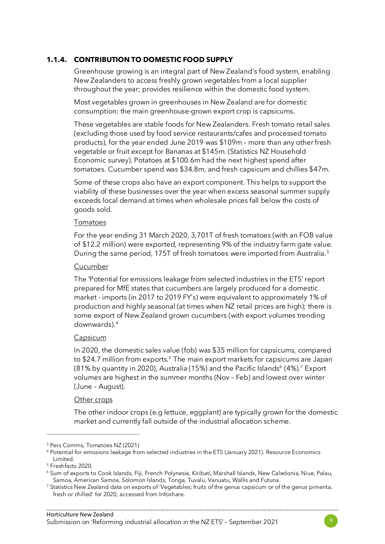#### **1.1.4. CONTRIBUTION TO DOMESTIC FOOD SUPPLY**

Greenhouse growing is an integral part of New Zealand's food system, enabling New Zealanders to access freshly grown vegetables from a local supplier throughout the year; provides resilience within the domestic food system.

Most vegetables grown in greenhouses in New Zealand are for domestic consumption; the main greenhouse-grown export crop is capsicums.

These vegetables are stable foods for New Zealanders. Fresh tomato retail sales (excluding those used by food service restaurants/cafes and processed tomato products), for the year ended June 2019 was \$109m – more than any other fresh vegetable or fruit except for Bananas at \$145m. (Statistics NZ Household Economic survey). Potatoes at \$100.6m had the next highest spend after tomatoes. Cucumber spend was \$34.8m, and fresh capsicum and chillies \$47m.

Some of these crops also have an export component. This helps to support the viability of these businesses over the year when excess seasonal summer supply exceeds local demand at times when wholesale prices fall below the costs of goods sold.

#### Tomatoes

For the year ending 31 March 2020, 3,701T of fresh tomatoes (with an FOB value of \$12.2 million) were exported, representing 9% of the industry farm gate value. During the same period, 175T of fresh tomatoes were imported from Australia.<sup>[3](#page-8-0)</sup>

#### Cucumber

The 'Potential for emissions leakage from selected industries in the ETS' report prepared for MfE states that cucumbers are largely produced for a domestic market - imports (in 2017 to 2019 FY's) were equivalent to approximately 1% of production and highly seasonal (at times when NZ retail prices are high); there is some export of New Zealand grown cucumbers (with export volumes trending downwards).[4](#page-8-1)

#### Capsicum

In 2020, the domestic sales value (fob) was \$35 million for capsicums, compared to \$24.7 million from exports.<sup>[5](#page-8-2)</sup> The main export markets for capsicums are Japan (81% by quantity in 2020), Australia (15%) and the Pacific Islands<sup>6</sup> (4%).<sup>7</sup> Export volumes are highest in the summer months (Nov – Feb) and lowest over winter (June – August).

#### Other crops

The other indoor crops (e.g lettuce, eggplant) are typically grown for the domestic market and currently fall outside of the industrial allocation scheme.

<span id="page-8-0"></span><sup>3</sup> Pers Comms, Tomatoes NZ (2021)

<span id="page-8-1"></span><sup>4</sup> Potential for emissions leakage from selected industries in the ETS (January 2021). Resource Economics Limited.

<span id="page-8-2"></span><sup>5</sup> Freshfacts 2020.

<span id="page-8-3"></span><sup>6</sup> Sum of exports to Cook Islands, Fiji, French Polynesia, Kiribati, Marshall Islands, New Caledonia, Niue, Palau, Samoa, American Samoa, Solomon Islands, Tonga, Tuvalu, Vanuatu, Wallis and Futuna.<br>7 Statistics New Zealand data on exports of 'Vegetables; fruits of the genus capsicum or of the genus pimenta,

<span id="page-8-4"></span>fresh or chilled' for 2020, accessed from Infoshare.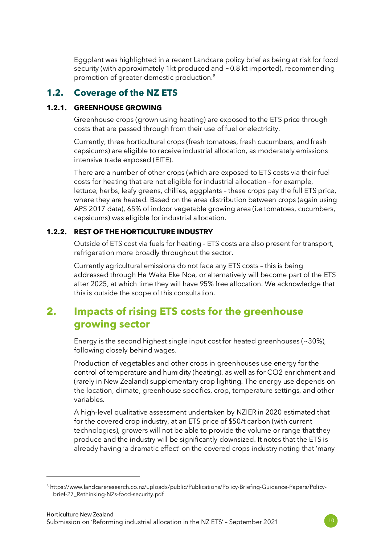Eggplant was highlighted in a recent Landcare policy brief as being at risk for food security (with approximately 1kt produced and ~0.8 kt imported), recommending promotion of greater domestic production.[8](#page-9-0)

### **1.2. Coverage of the NZ ETS**

#### **1.2.1. GREENHOUSE GROWING**

Greenhouse crops (grown using heating) are exposed to the ETS price through costs that are passed through from their use of fuel or electricity.

Currently, three horticultural crops (fresh tomatoes, fresh cucumbers, and fresh capsicums) are eligible to receive industrial allocation, as moderately emissions intensive trade exposed (EITE).

There are a number of other crops (which are exposed to ETS costs via their fuel costs for heating that are not eligible for industrial allocation – for example, lettuce, herbs, leafy greens, chillies, eggplants – these crops pay the full ETS price, where they are heated. Based on the area distribution between crops (again using APS 2017 data), 65% of indoor vegetable growing area (i.e tomatoes, cucumbers, capsicums) was eligible for industrial allocation.

#### **1.2.2. REST OF THE HORTICULTURE INDUSTRY**

Outside of ETS cost via fuels for heating - ETS costs are also present for transport, refrigeration more broadly throughout the sector.

Currently agricultural emissions do not face any ETS costs – this is being addressed through He Waka Eke Noa, or alternatively will become part of the ETS after 2025, at which time they will have 95% free allocation. We acknowledge that this is outside the scope of this consultation.

## **2. Impacts of rising ETS costs for the greenhouse growing sector**

Energy is the second highest single input cost for heated greenhouses (~30%), following closely behind wages.

Production of vegetables and other crops in greenhouses use energy for the control of temperature and humidity (heating), as well as for CO2 enrichment and (rarely in New Zealand) supplementary crop lighting. The energy use depends on the location, climate, greenhouse specifics, crop, temperature settings, and other variables.

A high-level qualitative assessment undertaken by NZIER in 2020 estimated that for the covered crop industry, at an ETS price of \$50/t carbon (with current technologies), growers will not be able to provide the volume or range that they produce and the industry will be significantly downsized. It notes that the ETS is already having 'a dramatic effect' on the covered crops industry noting that 'many



<span id="page-9-0"></span><sup>8</sup> https://www.landcareresearch.co.nz/uploads/public/Publications/Policy-Briefing-Guidance-Papers/Policybrief-27\_Rethinking-NZs-food-security.pdf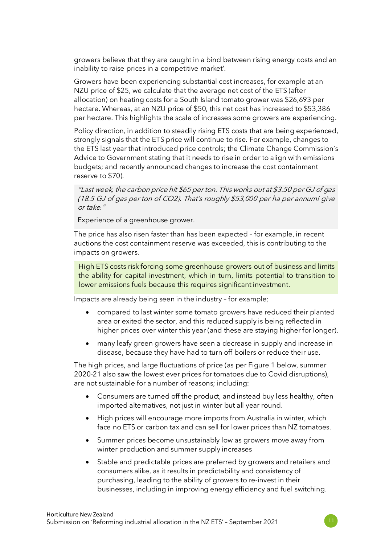growers believe that they are caught in a bind between rising energy costs and an inability to raise prices in a competitive market'.

Growers have been experiencing substantial cost increases, for example at an NZU price of \$25, we calculate that the average net cost of the ETS (after allocation) on heating costs for a South Island tomato grower was \$26,693 per hectare. Whereas, at an NZU price of \$50, this net cost has increased to \$53,386 per hectare. This highlights the scale of increases some growers are experiencing.

Policy direction, in addition to steadily rising ETS costs that are being experienced, strongly signals that the ETS price will continue to rise. For example, changes to the ETS last year that introduced price controls; the Climate Change Commission's Advice to Government stating that it needs to rise in order to align with emissions budgets; and recently announced changes to increase the cost containment reserve to \$70).

"Last week, the carbon price hit \$65 per ton. This works out at \$3.50 per GJ of gas (18.5 GJ of gas per ton of CO2). That's roughly \$53,000 per ha per annum! give or take."

Experience of a greenhouse grower.

The price has also risen faster than has been expected – for example, in recent auctions the cost containment reserve was exceeded, this is contributing to the impacts on growers.

High ETS costs risk forcing some greenhouse growers out of business and limits the ability for capital investment, which in turn, limits potential to transition to lower emissions fuels because this requires significant investment.

Impacts are already being seen in the industry – for example;

- compared to last winter some tomato growers have reduced their planted area or exited the sector, and this reduced supply is being reflected in higher prices over winter this year (and these are staying higher for longer).
- many leafy green growers have seen a decrease in supply and increase in disease, because they have had to turn off boilers or reduce their use.

The high prices, and large fluctuations of price (as per Figure 1 below, summer 2020-21 also saw the lowest ever prices for tomatoes due to Covid disruptions), are not sustainable for a number of reasons; including:

- Consumers are turned off the product, and instead buy less healthy, often imported alternatives, not just in winter but all year round.
- High prices will encourage more imports from Australia in winter, which face no ETS or carbon tax and can sell for lower prices than NZ tomatoes.
- Summer prices become unsustainably low as growers move away from winter production and summer supply increases
- Stable and predictable prices are preferred by growers and retailers and consumers alike, as it results in predictability and consistency of purchasing, leading to the ability of growers to re-invest in their businesses, including in improving energy efficiency and fuel switching.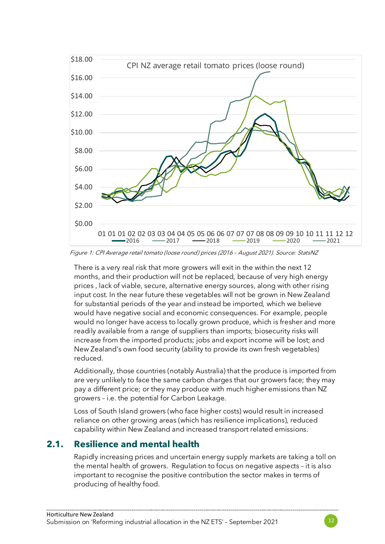

Figure 1: CPI Average retail tomato (loose round) prices (2016 – August 2021). Source: StatsNZ

There is a very real risk that more growers will exit in the within the next 12 months, and their production will not be replaced, because of very high energy prices , lack of viable, secure, alternative energy sources, along with other rising input cost. In the near future these vegetables will not be grown in New Zealand for substantial periods of the year and instead be imported, which we believe would have negative social and economic consequences. For example, people would no longer have access to locally grown produce, which is fresher and more readily available from a range of suppliers than imports; biosecurity risks will increase from the imported products; jobs and export income will be lost; and New Zealand's own food security (ability to provide its own fresh vegetables) reduced.

Additionally, those countries (notably Australia) that the produce is imported from are very unlikely to face the same carbon charges that our growers face; they may pay a different price; or they may produce with much higher emissions than NZ growers – i.e. the potential for Carbon Leakage.

Loss of South Island growers (who face higher costs) would result in increased reliance on other growing areas (which has resilience implications), reduced capability within New Zealand and increased transport related emissions.

#### **2.1. Resilience and mental health**

Rapidly increasing prices and uncertain energy supply markets are taking a toll on the mental health of growers. Regulation to focus on negative aspects – it is also important to recognise the positive contribution the sector makes in terms of producing of healthy food.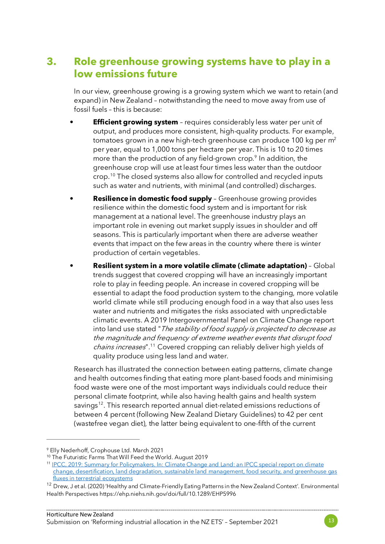## **3. Role greenhouse growing systems have to play in a low emissions future**

In our view, greenhouse growing is a growing system which we want to retain (and expand) in New Zealand – notwithstanding the need to move away from use of fossil fuels – this is because:

- **Efficient growing system** requires considerably less water per unit of output, and produces more consistent, high-quality products. For example, tomatoes grown in a new high-tech greenhouse can produce 100 kg per m<sup>2</sup> per year, equal to 1,000 tons per hectare per year. This is 10 to 20 times more than the production of any field-grown crop.<sup>[9](#page-12-0)</sup> In addition, the greenhouse crop will use at least four times less water than the outdoor crop.[10](#page-12-1) The closed systems also allow for controlled and recycled inputs such as water and nutrients, with minimal (and controlled) discharges.
- **Resilience in domestic food supply** Greenhouse growing provides resilience within the domestic food system and is important for risk management at a national level. The greenhouse industry plays an important role in evening out market supply issues in shoulder and off seasons. This is particularly important when there are adverse weather events that impact on the few areas in the country where there is winter production of certain vegetables.
- **Resilient system in a more volatile climate (climate adaptation)** Global trends suggest that covered cropping will have an increasingly important role to play in feeding people. An increase in covered cropping will be essential to adapt the food production system to the changing, more volatile world climate while still producing enough food in a way that also uses less water and nutrients and mitigates the risks associated with unpredictable climatic events. A 2019 Intergovernmental Panel on Climate Change report into land use stated "The stability of food supply is projected to decrease as the magnitude and frequency of extreme weather events that disrupt food chains increases".<sup>11</sup> Covered cropping can reliably deliver high yields of quality produce using less land and water.

Research has illustrated the connection between eating patterns, climate change and health outcomes finding that eating more plant-based foods and minimising food waste were one of the most important ways individuals could reduce their personal climate footprint, while also having health gains and health system savings<sup>[12](#page-12-3)</sup>. This research reported annual diet-related emissions reductions of between 4 percent (following New Zealand Dietary Guidelines) to 42 per cent (wastefree vegan diet), the latter being equivalent to one-fifth of the current



<span id="page-12-0"></span><sup>9</sup> Elly Nederhoff, Crophouse Ltd. March 2021

<sup>10</sup> The Futuristic Farms That Will Feed the World. August 2019

<span id="page-12-2"></span><span id="page-12-1"></span><sup>11</sup> [IPCC, 2019: Summary for Policymakers. In: Climate Change and Land: an IPCC special report on climate](https://www.ipcc.ch/srccl/chapter/summary-for-policymakers/)  [change, desertification, land degradation, sustainable land management, food security, and greenhouse gas](https://www.ipcc.ch/srccl/chapter/summary-for-policymakers/)  [fluxes in terrestrial ecosystems](https://www.ipcc.ch/srccl/chapter/summary-for-policymakers/)

<span id="page-12-3"></span><sup>&</sup>lt;sup>12</sup> Drew, J et al. (2020) 'Healthy and Climate-Friendly Eating Patterns in the New Zealand Context'. Environmental Health Perspective[s https://ehp.niehs.nih.gov/doi/full/10.1289/EHP5996](https://ehp.niehs.nih.gov/doi/full/10.1289/EHP5996)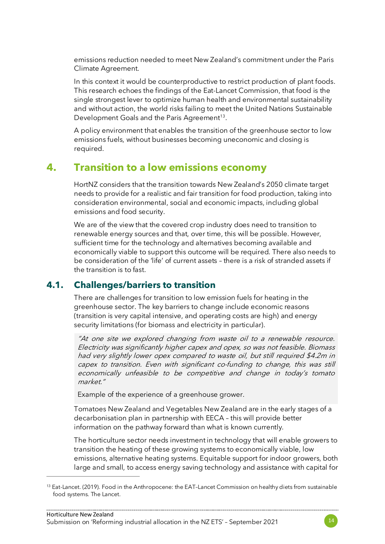emissions reduction needed to meet New Zealand's commitment under the Paris Climate Agreement.

In this context it would be counterproductive to restrict production of plant foods. This research echoes the findings of the Eat-Lancet Commission, that food is the single strongest lever to optimize human health and environmental sustainability and without action, the world risks failing to meet the United Nations Sustainable Development Goals and the Paris Agreement<sup>13</sup>.

A policy environment that enables the transition of the greenhouse sector to low emissions fuels, without businesses becoming uneconomic and closing is required.

## **4. Transition to a low emissions economy**

HortNZ considers that the transition towards New Zealand's 2050 climate target needs to provide for a realistic and fair transition for food production, taking into consideration environmental, social and economic impacts, including global emissions and food security.

We are of the view that the covered crop industry does need to transition to renewable energy sources and that, over time, this will be possible. However, sufficient time for the technology and alternatives becoming available and economically viable to support this outcome will be required. There also needs to be consideration of the 'life' of current assets – there is a risk of stranded assets if the transition is to fast.

#### **4.1. Challenges/barriers to transition**

There are challenges for transition to low emission fuels for heating in the greenhouse sector. The key barriers to change include economic reasons (transition is very capital intensive, and operating costs are high) and energy security limitations (for biomass and electricity in particular).

"At one site we explored changing from waste oil to a renewable resource. Electricity was significantly higher capex and opex, so was not feasible. Biomass had very slightly lower opex compared to waste oil, but still required \$4.2m in capex to transition. Even with significant co-funding to change, this was still economically unfeasible to be competitive and change in today's tomato market."

Example of the experience of a greenhouse grower.

Tomatoes New Zealand and Vegetables New Zealand are in the early stages of a decarbonisation plan in partnership with EECA – this will provide better information on the pathway forward than what is known currently.

The horticulture sector needs investment in technology that will enable growers to transition the heating of these growing systems to economically viable, low emissions, alternative heating systems. Equitable support for indoor growers, both large and small, to access energy saving technology and assistance with capital for



<span id="page-13-0"></span><sup>&</sup>lt;sup>13</sup> Eat-Lancet. (2019). Food in the Anthropocene: the EAT-Lancet Commission on healthy diets from sustainable food systems. The Lancet.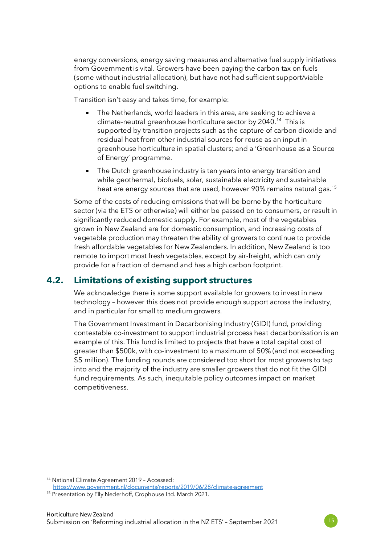energy conversions, energy saving measures and alternative fuel supply initiatives from Government is vital. Growers have been paying the carbon tax on fuels (some without industrial allocation), but have not had sufficient support/viable options to enable fuel switching.

Transition isn't easy and takes time, for example:

- The Netherlands, world leaders in this area, are seeking to achieve a climate-neutral greenhouse horticulture sector by 2040.[14](#page-14-0) This is supported by transition projects such as the capture of carbon dioxide and residual heat from other industrial sources for reuse as an input in greenhouse horticulture in spatial clusters; and a 'Greenhouse as a Source of Energy' programme.
- The Dutch greenhouse industry is ten years into energy transition and while geothermal, biofuels, solar, sustainable electricity and sustainable heat are energy sources that are used, however 90% remains natural gas.<sup>[15](#page-14-1)</sup>

Some of the costs of reducing emissions that will be borne by the horticulture sector (via the ETS or otherwise) will either be passed on to consumers, or result in significantly reduced domestic supply. For example, most of the vegetables grown in New Zealand are for domestic consumption, and increasing costs of vegetable production may threaten the ability of growers to continue to provide fresh affordable vegetables for New Zealanders. In addition, New Zealand is too remote to import most fresh vegetables, except by air-freight, which can only provide for a fraction of demand and has a high carbon footprint.

#### **4.2. Limitations of existing support structures**

We acknowledge there is some support available for growers to invest in new technology – however this does not provide enough support across the industry, and in particular for small to medium growers.

The Government Investment in Decarbonising Industry (GIDI) fund, providing contestable co-investment to support industrial process heat decarbonisation is an example of this. This fund is limited to projects that have a total capital cost of greater than \$500k, with co-investment to a maximum of 50% (and not exceeding \$5 million). The funding rounds are considered too short for most growers to tap into and the majority of the industry are smaller growers that do not fit the GIDI fund requirements. As such, inequitable policy outcomes impact on market competitiveness.



<span id="page-14-0"></span><sup>14</sup> National Climate Agreement 2019 – Accessed:

<https://www.government.nl/documents/reports/2019/06/28/climate-agreement>

<span id="page-14-1"></span><sup>&</sup>lt;sup>15</sup> Presentation by Elly Nederhoff, Crophouse Ltd. March 2021.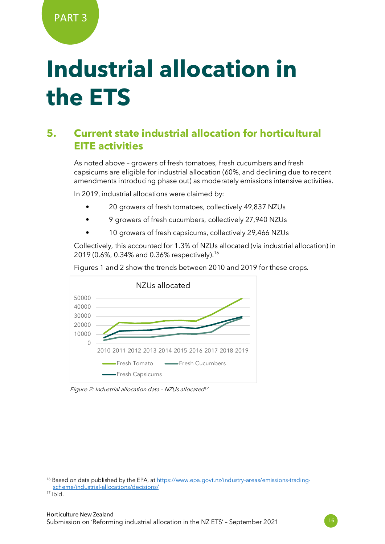## **Industrial allocation in the ETS**

## **5. Current state industrial allocation for horticultural EITE activities**

As noted above – growers of fresh tomatoes, fresh cucumbers and fresh capsicums are eligible for industrial allocation (60%, and declining due to recent amendments introducing phase out) as moderately emissions intensive activities.

In 2019, industrial allocations were claimed by:

- 20 growers of fresh tomatoes, collectively 49,837 NZUs
- 9 growers of fresh cucumbers, collectively 27,940 NZUs
- 10 growers of fresh capsicums, collectively 29,466 NZUs

Collectively, this accounted for 1.3% of NZUs allocated (via industrial allocation) in 2019 (0.6%, 0.34% and 0.36% respectively).[16](#page-15-0)

Figures 1 and 2 show the trends between 2010 and 2019 for these crops.



Figure 2: Industrial allocation data - NZUs allocated<sup>[17](#page-15-1)</sup>



<span id="page-15-0"></span><sup>&</sup>lt;sup>16</sup> Based on data published by the EPA, a[t https://www.epa.govt.nz/industry-areas/emissions-trading](https://www.epa.govt.nz/industry-areas/emissions-trading-scheme/industrial-allocations/decisions/)[scheme/industrial-allocations/decisions/](https://www.epa.govt.nz/industry-areas/emissions-trading-scheme/industrial-allocations/decisions/)

<span id="page-15-1"></span> $17$  Ibid.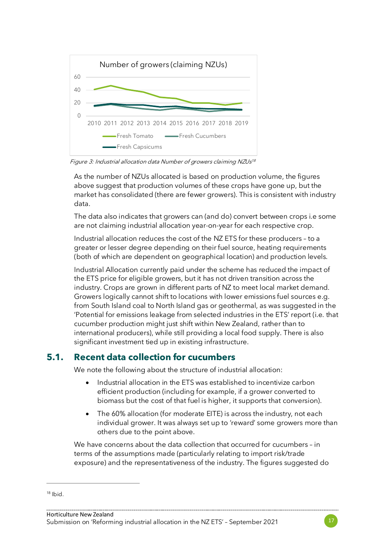

Figure 3: Industrial allocation data Number of growers claiming NZUs<sup>[18](#page-16-0)</sup>

As the number of NZUs allocated is based on production volume, the figures above suggest that production volumes of these crops have gone up, but the market has consolidated (there are fewer growers). This is consistent with industry data.

The data also indicates that growers can (and do) convert between crops i.e some are not claiming industrial allocation year-on-year for each respective crop.

Industrial allocation reduces the cost of the NZ ETS for these producers – to a greater or lesser degree depending on their fuel source, heating requirements (both of which are dependent on geographical location) and production levels.

Industrial Allocation currently paid under the scheme has reduced the impact of the ETS price for eligible growers, but it has not driven transition across the industry. Crops are grown in different parts of NZ to meet local market demand. Growers logically cannot shift to locations with lower emissions fuel sources e.g. from South Island coal to North Island gas or geothermal, as was suggested in the 'Potential for emissions leakage from selected industries in the ETS' report (i.e. that cucumber production might just shift within New Zealand, rather than to international producers), while still providing a local food supply. There is also significant investment tied up in existing infrastructure.

### **5.1. Recent data collection for cucumbers**

We note the following about the structure of industrial allocation:

- Industrial allocation in the ETS was established to incentivize carbon efficient production (including for example, if a grower converted to biomass but the cost of that fuel is higher, it supports that conversion).
- The 60% allocation (for moderate EITE) is across the industry, not each individual grower. It was always set up to 'reward' some growers more than others due to the point above.

We have concerns about the data collection that occurred for cucumbers – in terms of the assumptions made (particularly relating to import risk/trade exposure) and the representativeness of the industry. The figures suggested do



<span id="page-16-0"></span> $18$  Ihid.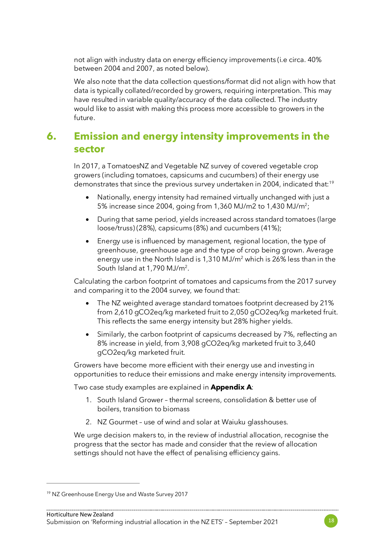not align with industry data on energy efficiency improvements (i.e circa. 40% between 2004 and 2007, as noted below).

We also note that the data collection questions/format did not align with how that data is typically collated/recorded by growers, requiring interpretation. This may have resulted in variable quality/accuracy of the data collected. The industry would like to assist with making this process more accessible to growers in the future.

## **6. Emission and energy intensity improvements in the sector**

In 2017, a TomatoesNZ and Vegetable NZ survey of covered vegetable crop growers (including tomatoes, capsicums and cucumbers) of their energy use demonstrates that since the previous survey undertaken in 2004, indicated that:<sup>[19](#page-17-0)</sup>

- Nationally, energy intensity had remained virtually unchanged with just a 5% increase since 2004, going from 1,360 MJ/m2 to 1,430 MJ/m2;
- During that same period, yields increased across standard tomatoes (large loose/truss) (28%), capsicums (8%) and cucumbers (41%);
- Energy use is influenced by management, regional location, the type of greenhouse, greenhouse age and the type of crop being grown. Average energy use in the North Island is 1,310 MJ/m<sup>2</sup> which is 26% less than in the South Island at 1,790 MJ/m2.

Calculating the carbon footprint of tomatoes and capsicums from the 2017 survey and comparing it to the 2004 survey, we found that:

- The NZ weighted average standard tomatoes footprint decreased by 21% from 2,610 gCO2eq/kg marketed fruit to 2,050 gCO2eq/kg marketed fruit. This reflects the same energy intensity but 28% higher yields.
- Similarly, the carbon footprint of capsicums decreased by 7%, reflecting an 8% increase in yield, from 3,908 gCO2eq/kg marketed fruit to 3,640 gCO2eq/kg marketed fruit.

Growers have become more efficient with their energy use and investing in opportunities to reduce their emissions and make energy intensity improvements.

Two case study examples are explained in **Appendix A**:

- 1. South Island Grower thermal screens, consolidation & better use of boilers, transition to biomass
- 2. NZ Gourmet use of wind and solar at Waiuku glasshouses.

We urge decision makers to, in the review of industrial allocation, recognise the progress that the sector has made and consider that the review of allocation settings should not have the effect of penalising efficiency gains.

<span id="page-17-0"></span><sup>19</sup> NZ Greenhouse Energy Use and Waste Survey 2017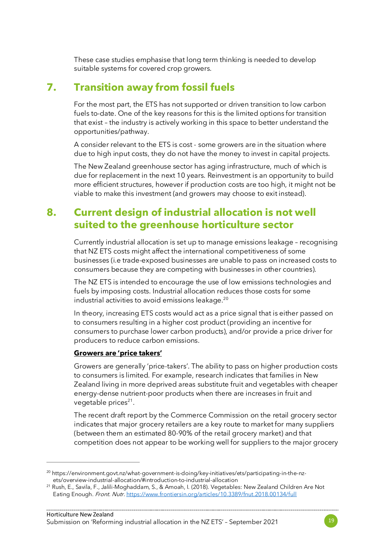These case studies emphasise that long term thinking is needed to develop suitable systems for covered crop growers.

## **7. Transition away from fossil fuels**

For the most part, the ETS has not supported or driven transition to low carbon fuels to-date. One of the key reasons for this is the limited options for transition that exist – the industry is actively working in this space to better understand the opportunities/pathway.

A consider relevant to the ETS is cost - some growers are in the situation where due to high input costs, they do not have the money to invest in capital projects.

The New Zealand greenhouse sector has aging infrastructure, much of which is due for replacement in the next 10 years. Reinvestment is an opportunity to build more efficient structures, however if production costs are too high, it might not be viable to make this investment (and growers may choose to exit instead).

## **8. Current design of industrial allocation is not well suited to the greenhouse horticulture sector**

Currently industrial allocation is set up to manage emissions leakage – recognising that NZ ETS costs might affect the international competitiveness of some businesses (i.e trade-exposed businesses are unable to pass on increased costs to consumers because they are competing with businesses in other countries).

The NZ ETS is intended to encourage the use of low emissions technologies and fuels by imposing costs. Industrial allocation reduces those costs for some industrial activities to avoid emissions leakage.<sup>[20](#page-18-0)</sup>

In theory, increasing ETS costs would act as a price signal that is either passed on to consumers resulting in a higher cost product (providing an incentive for consumers to purchase lower carbon products), and/or provide a price driver for producers to reduce carbon emissions.

#### **Growers are 'price takers'**

Growers are generally 'price-takers'. The ability to pass on higher production costs to consumers is limited. For example, research indicates that families in New Zealand living in more deprived areas substitute fruit and vegetables with cheaper energy-dense nutrient-poor products when there are increases in fruit and vegetable prices<sup>[21](#page-18-1)</sup>.

The recent draft report by the Commerce Commission on the retail grocery sector indicates that major grocery retailers are a key route to market for many suppliers (between them an estimated 80-90% of the retail grocery market) and that competition does not appear to be working well for suppliers to the major grocery



<span id="page-18-0"></span><sup>&</sup>lt;sup>20</sup> https://environment.govt.nz/what-government-is-doing/key-initiatives/ets/participating-in-the-nzets/overview-industrial-allocation/#introduction-to-industrial-allocation

<span id="page-18-1"></span><sup>21</sup> Rush, E., Savila, F., Jalili-Moghaddam, S., & Amoah, I. (2018). Vegetables: New Zealand Children Are Not Eating Enough. Front. Nutr. <https://www.frontiersin.org/articles/10.3389/fnut.2018.00134/full>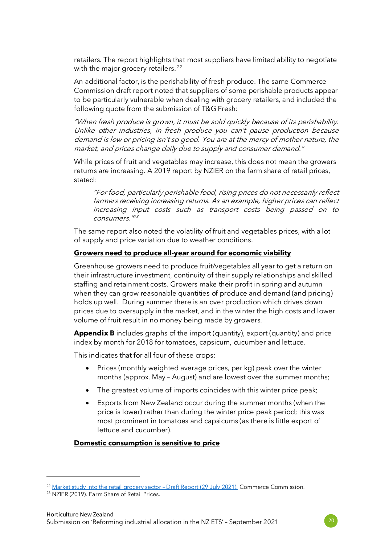retailers. The report highlights that most suppliers have limited ability to negotiate with the major grocery retailers.<sup>[22](#page-19-0)</sup>

An additional factor, is the perishability of fresh produce. The same Commerce Commission draft report noted that suppliers of some perishable products appear to be particularly vulnerable when dealing with grocery retailers, and included the following quote from the submission of T&G Fresh:

"When fresh produce is grown, it must be sold quickly because of its perishability. Unlike other industries, in fresh produce you can't pause production because demand is low or pricing isn't so good. You are at the mercy of mother nature, the market, and prices change daily due to supply and consumer demand."

While prices of fruit and vegetables may increase, this does not mean the growers returns are increasing. A 2019 report by NZIER on the farm share of retail prices, stated:

"For food, particularly perishable food, rising prices do not necessarily reflect farmers receiving increasing returns. As an example, higher prices can reflect increasing input costs such as transport costs being passed on to  $consumes \frac{1}{23}$  $consumes \frac{1}{23}$  $consumes \frac{1}{23}$ 

The same report also noted the volatility of fruit and vegetables prices, with a lot of supply and price variation due to weather conditions.

#### **Growers need to produce all-year around for economic viability**

Greenhouse growers need to produce fruit/vegetables all year to get a return on their infrastructure investment, continuity of their supply relationships and skilled staffing and retainment costs. Growers make their profit in spring and autumn when they can grow reasonable quantities of produce and demand (and pricing) holds up well. During summer there is an over production which drives down prices due to oversupply in the market, and in the winter the high costs and lower volume of fruit result in no money being made by growers.

**Appendix B** includes graphs of the import (quantity), export (quantity) and price index by month for 2018 for tomatoes, capsicum, cucumber and lettuce.

This indicates that for all four of these crops:

- Prices (monthly weighted average prices, per kg) peak over the winter months (approx. May – August) and are lowest over the summer months;
- The greatest volume of imports coincides with this winter price peak;
- Exports from New Zealand occur during the summer months (when the price is lower) rather than during the winter price peak period; this was most prominent in tomatoes and capsicums (as there is little export of lettuce and cucumber).

#### **Domestic consumption is sensitive to price**

<span id="page-19-0"></span><sup>&</sup>lt;sup>22</sup> Market study into the retail grocery sector - Draft Report (29 July 2021). Commerce Commission.

<span id="page-19-1"></span><sup>&</sup>lt;sup>23</sup> NZIER (2019). Farm Share of Retail Prices.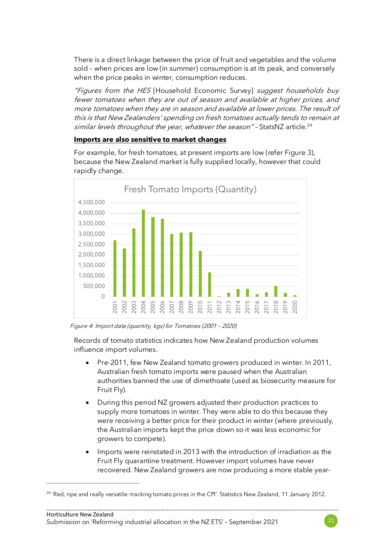There is a direct linkage between the price of fruit and vegetables and the volume sold – when prices are low (in summer) consumption is at its peak, and conversely when the price peaks in winter, consumption reduces.

"Figures from the HES [Household Economic Survey] suggest households buy fewer tomatoes when they are out of season and available at higher prices, and more tomatoes when they are in season and available at lower prices. The result of this is that New Zealanders' spending on fresh tomatoes actually tends to remain at similar levels throughout the year, whatever the season" - StatsNZ article.<sup>[24](#page-20-0)</sup>

#### **Imports are also sensitive to market changes**

For example, for fresh tomatoes, at present imports are low (refer Figure 3), because the New Zealand market is fully supplied locally, however that could rapidly change.



Figure 4: Import data (quantity, kgs) for Tomatoes (2001 – 2020)

Records of tomato statistics indicates how New Zealand production volumes influence import volumes.

- Pre-2011, few New Zealand tomato growers produced in winter. In 2011, Australian fresh tomato imports were paused when the Australian authorities banned the use of dimethoate (used as biosecurity measure for Fruit Fly).
- During this period NZ growers adjusted their production practices to supply more tomatoes in winter. They were able to do this because they were receiving a better price for their product in winter (where previously, the Australian imports kept the price down so it was less economic for growers to compete).
- Imports were reinstated in 2013 with the introduction of irradiation as the Fruit Fly quarantine treatment. However import volumes have never recovered. New Zealand growers are now producing a more stable year-

<span id="page-20-0"></span><sup>&</sup>lt;sup>24</sup> 'Red, ripe and really versatile: tracking tomato prices in the CPI'. Statistics New Zealand, 11 January 2012.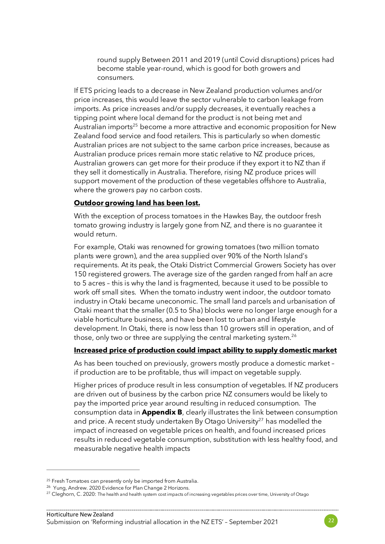round supply Between 2011 and 2019 (until Covid disruptions) prices had become stable year-round, which is good for both growers and consumers.

If ETS pricing leads to a decrease in New Zealand production volumes and/or price increases, this would leave the sector vulnerable to carbon leakage from imports. As price increases and/or supply decreases, it eventually reaches a tipping point where local demand for the product is not being met and Australian imports<sup>[25](#page-21-0)</sup> become a more attractive and economic proposition for New Zealand food service and food retailers. This is particularly so when domestic Australian prices are not subject to the same carbon price increases, because as Australian produce prices remain more static relative to NZ produce prices, Australian growers can get more for their produce if they export it to NZ than if they sell it domestically in Australia. Therefore, rising NZ produce prices will support movement of the production of these vegetables offshore to Australia, where the growers pay no carbon costs.

#### **Outdoor growing land has been lost.**

With the exception of process tomatoes in the Hawkes Bay, the outdoor fresh tomato growing industry is largely gone from NZ, and there is no guarantee it would return.

For example, Otaki was renowned for growing tomatoes (two million tomato plants were grown), and the area supplied over 90% of the North Island's requirements. At its peak, the Otaki District Commercial Growers Society has over 150 registered growers. The average size of the garden ranged from half an acre to 5 acres – this is why the land is fragmented, because it used to be possible to work off small sites. When the tomato industry went indoor, the outdoor tomato industry in Otaki became uneconomic. The small land parcels and urbanisation of Otaki meant that the smaller (0.5 to 5ha) blocks were no longer large enough for a viable horticulture business, and have been lost to urban and lifestyle development. In Otaki, there is now less than 10 growers still in operation, and of those, only two or three are supplying the central marketing system.<sup>[26](#page-21-1)</sup>

#### **Increased price of production could impact ability to supply domestic market**

As has been touched on previously, growers mostly produce a domestic market – if production are to be profitable, thus will impact on vegetable supply.

Higher prices of produce result in less consumption of vegetables. If NZ producers are driven out of business by the carbon price NZ consumers would be likely to pay the imported price year around resulting in reduced consumption. The consumption data in **Appendix B**, clearly illustrates the link between consumption and price. A recent study undertaken By Otago University<sup>[27](#page-21-2)</sup> has modelled the impact of increased on vegetable prices on health, and found increased prices results in reduced vegetable consumption, substitution with less healthy food, and measurable negative health impacts



<span id="page-21-0"></span><sup>&</sup>lt;sup>25</sup> Fresh Tomatoes can presently only be imported from Australia.

<span id="page-21-1"></span><sup>26</sup> Yung, Andrew. 2020 Evidence for Plan Change 2 Horizons.

<span id="page-21-2"></span><sup>&</sup>lt;sup>27</sup> Cleghorn, C. 2020: The health and health system cost impacts of increasing vegetables prices over time, University of Otago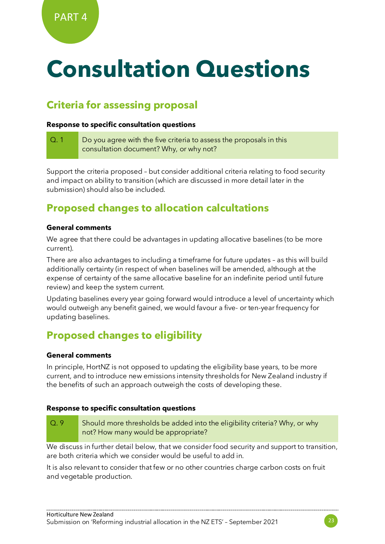# **Consultation Questions**

## **Criteria for assessing proposal**

#### **Response to specific consultation questions**

Q. 1 Do you agree with the five criteria to assess the proposals in this consultation document? Why, or why not?

Support the criteria proposed – but consider additional criteria relating to food security and impact on ability to transition (which are discussed in more detail later in the submission) should also be included.

## **Proposed changes to allocation calcultations**

#### **General comments**

We agree that there could be advantages in updating allocative baselines (to be more current).

There are also advantages to including a timeframe for future updates – as this will build additionally certainty (in respect of when baselines will be amended, although at the expense of certainty of the same allocative baseline for an indefinite period until future review) and keep the system current.

Updating baselines every year going forward would introduce a level of uncertainty which would outweigh any benefit gained, we would favour a five- or ten-year frequency for updating baselines.

## **Proposed changes to eligibility**

#### **General comments**

In principle, HortNZ is not opposed to updating the eligibility base years, to be more current, and to introduce new emissions intensity thresholds for New Zealand industry if the benefits of such an approach outweigh the costs of developing these.

#### **Response to specific consultation questions**

Q. 9 Should more thresholds be added into the eligibility criteria? Why, or why not? How many would be appropriate?

We discuss in further detail below, that we consider food security and support to transition, are both criteria which we consider would be useful to add in.

It is also relevant to consider that few or no other countries charge carbon costs on fruit and vegetable production.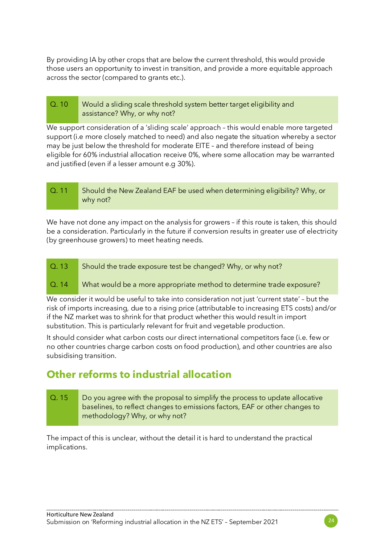By providing IA by other crops that are below the current threshold, this would provide those users an opportunity to invest in transition, and provide a more equitable approach across the sector (compared to grants etc.).

#### Q. 10 Would a sliding scale threshold system better target eligibility and assistance? Why, or why not?

We support consideration of a 'sliding scale' approach – this would enable more targeted support (i.e more closely matched to need) and also negate the situation whereby a sector may be just below the threshold for moderate EITE – and therefore instead of being eligible for 60% industrial allocation receive 0%, where some allocation may be warranted and justified (even if a lesser amount e.g 30%).

| $\cup$ 0.11 | Should the New Zealand EAF be used when determining eligibility? Why, or |
|-------------|--------------------------------------------------------------------------|
|             | why not?                                                                 |

We have not done any impact on the analysis for growers - if this route is taken, this should be a consideration. Particularly in the future if conversion results in greater use of electricity (by greenhouse growers) to meet heating needs.

Q. 13 Should the trade exposure test be changed? Why, or why not?

#### Q. 14 What would be a more appropriate method to determine trade exposure?

We consider it would be useful to take into consideration not just 'current state' – but the risk of imports increasing, due to a rising price (attributable to increasing ETS costs) and/or if the NZ market was to shrink for that product whether this would result in import substitution. This is particularly relevant for fruit and vegetable production.

It should consider what carbon costs our direct international competitors face (i.e. few or no other countries charge carbon costs on food production), and other countries are also subsidising transition.

## **Other reforms to industrial allocation**

#### Q. 15 Do you agree with the proposal to simplify the process to update allocative baselines, to reflect changes to emissions factors, EAF or other changes to methodology? Why, or why not?

The impact of this is unclear, without the detail it is hard to understand the practical implications.

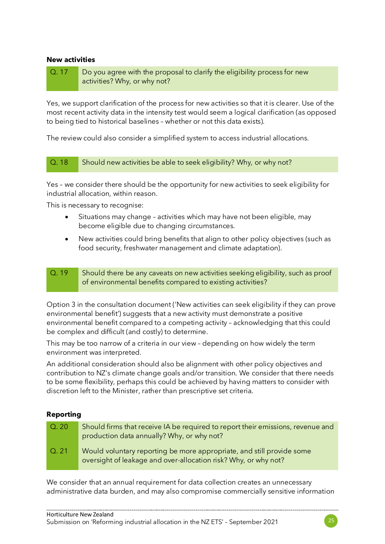#### **New activities**

Q. 17 Do you agree with the proposal to clarify the eligibility process for new activities? Why, or why not?

Yes, we support clarification of the process for new activities so that it is clearer. Use of the most recent activity data in the intensity test would seem a logical clarification (as opposed to being tied to historical baselines – whether or not this data exists).

The review could also consider a simplified system to access industrial allocations.

#### Q. 18 Should new activities be able to seek eligibility? Why, or why not?

Yes – we consider there should be the opportunity for new activities to seek eligibility for industrial allocation, within reason.

This is necessary to recognise:

- Situations may change activities which may have not been eligible, may become eligible due to changing circumstances.
- New activities could bring benefits that align to other policy objectives (such as food security, freshwater management and climate adaptation).
- Q. 19 Should there be any caveats on new activities seeking eligibility, such as proof of environmental benefits compared to existing activities?

Option 3 in the consultation document ('New activities can seek eligibility if they can prove environmental benefit') suggests that a new activity must demonstrate a positive environmental benefit compared to a competing activity – acknowledging that this could be complex and difficult (and costly) to determine.

This may be too narrow of a criteria in our view – depending on how widely the term environment was interpreted.

An additional consideration should also be alignment with other policy objectives and contribution to NZ's climate change goals and/or transition. We consider that there needs to be some flexibility, perhaps this could be achieved by having matters to consider with discretion left to the Minister, rather than prescriptive set criteria.

#### **Reporting**

| Q.20 | Should firms that receive IA be required to report their emissions, revenue and<br>production data annually? Why, or why not?            |
|------|------------------------------------------------------------------------------------------------------------------------------------------|
| Q.21 | Would voluntary reporting be more appropriate, and still provide some<br>oversight of leakage and over-allocation risk? Why, or why not? |

We consider that an annual requirement for data collection creates an unnecessary administrative data burden, and may also compromise commercially sensitive information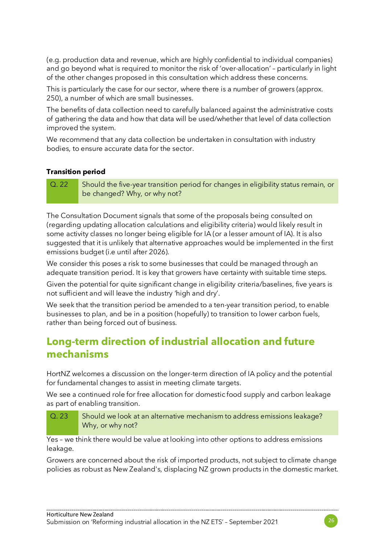(e.g. production data and revenue, which are highly confidential to individual companies) and go beyond what is required to monitor the risk of 'over-allocation' – particularly in light of the other changes proposed in this consultation which address these concerns.

This is particularly the case for our sector, where there is a number of growers (approx. 250), a number of which are small businesses.

The benefits of data collection need to carefully balanced against the administrative costs of gathering the data and how that data will be used/whether that level of data collection improved the system.

We recommend that any data collection be undertaken in consultation with industry bodies, to ensure accurate data for the sector.

#### **Transition period**

Q. 22 Should the five-year transition period for changes in eligibility status remain, or be changed? Why, or why not?

The Consultation Document signals that some of the proposals being consulted on (regarding updating allocation calculations and eligibility criteria) would likely result in some activity classes no longer being eligible for IA (or a lesser amount of IA). It is also suggested that it is unlikely that alternative approaches would be implemented in the first emissions budget (i.e until after 2026).

We consider this poses a risk to some businesses that could be managed through an adequate transition period. It is key that growers have certainty with suitable time steps.

Given the potential for quite significant change in eligibility criteria/baselines, five years is not sufficient and will leave the industry 'high and dry'.

We seek that the transition period be amended to a ten-year transition period, to enable businesses to plan, and be in a position (hopefully) to transition to lower carbon fuels, rather than being forced out of business.

## **Long-term direction of industrial allocation and future mechanisms**

HortNZ welcomes a discussion on the longer-term direction of IA policy and the potential for fundamental changes to assist in meeting climate targets.

We see a continued role for free allocation for domestic food supply and carbon leakage as part of enabling transition.

Q. 23 Should we look at an alternative mechanism to address emissions leakage? Why, or why not?

Yes – we think there would be value at looking into other options to address emissions leakage.

Growers are concerned about the risk of imported products, not subject to climate change policies as robust as New Zealand's, displacing NZ grown products in the domestic market.

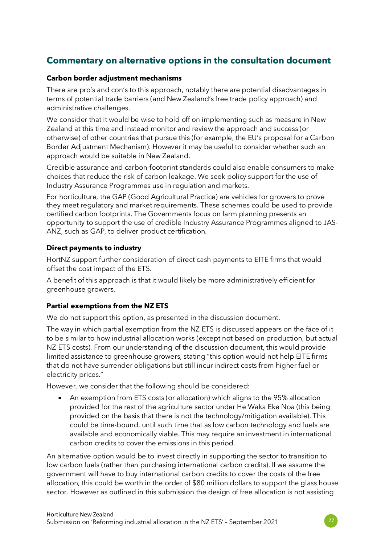### **Commentary on alternative options in the consultation document**

#### **Carbon border adjustment mechanisms**

There are pro's and con's to this approach, notably there are potential disadvantages in terms of potential trade barriers (and New Zealand's free trade policy approach) and administrative challenges.

We consider that it would be wise to hold off on implementing such as measure in New Zealand at this time and instead monitor and review the approach and success (or otherwise) of other countries that pursue this (for example, the EU's proposal for a Carbon Border Adjustment Mechanism). However it may be useful to consider whether such an approach would be suitable in New Zealand.

Credible assurance and carbon-footprint standards could also enable consumers to make choices that reduce the risk of carbon leakage. We seek policy support for the use of Industry Assurance Programmes use in regulation and markets.

For horticulture, the GAP (Good Agricultural Practice) are vehicles for growers to prove they meet regulatory and market requirements. These schemes could be used to provide certified carbon footprints. The Governments focus on farm planning presents an opportunity to support the use of credible Industry Assurance Programmes aligned to JAS-ANZ, such as GAP, to deliver product certification.

#### **Direct payments to industry**

HortNZ support further consideration of direct cash payments to EITE firms that would offset the cost impact of the ETS.

A benefit of this approach is that it would likely be more administratively efficient for greenhouse growers.

#### **Partial exemptions from the NZ ETS**

We do not support this option, as presented in the discussion document.

The way in which partial exemption from the NZ ETS is discussed appears on the face of it to be similar to how industrial allocation works (except not based on production, but actual NZ ETS costs). From our understanding of the discussion document, this would provide limited assistance to greenhouse growers, stating "this option would not help EITE firms that do not have surrender obligations but still incur indirect costs from higher fuel or electricity prices."

However, we consider that the following should be considered:

• An exemption from ETS costs (or allocation) which aligns to the 95% allocation provided for the rest of the agriculture sector under He Waka Eke Noa (this being provided on the basis that there is not the technology/mitigation available). This could be time-bound, until such time that as low carbon technology and fuels are available and economically viable. This may require an investment in international carbon credits to cover the emissions in this period.

An alternative option would be to invest directly in supporting the sector to transition to low carbon fuels (rather than purchasing international carbon credits). If we assume the government will have to buy international carbon credits to cover the costs of the free allocation, this could be worth in the order of \$80 million dollars to support the glass house sector. However as outlined in this submission the design of free allocation is not assisting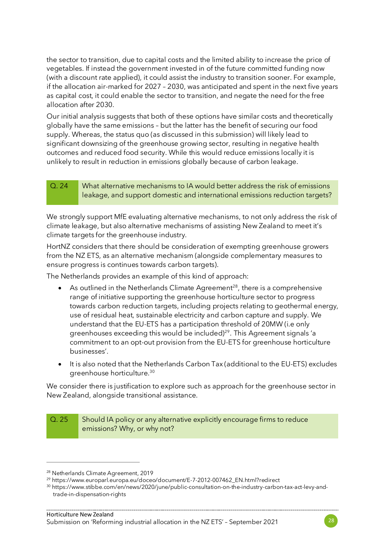the sector to transition, due to capital costs and the limited ability to increase the price of vegetables. If instead the government invested in of the future committed funding now (with a discount rate applied), it could assist the industry to transition sooner. For example, if the allocation air-marked for 2027 – 2030, was anticipated and spent in the next five years as capital cost, it could enable the sector to transition, and negate the need for the free allocation after 2030.

Our initial analysis suggests that both of these options have similar costs and theoretically globally have the same emissions – but the latter has the benefit of securing our food supply. Whereas, the status quo (as discussed in this submission) will likely lead to significant downsizing of the greenhouse growing sector, resulting in negative health outcomes and reduced food security. While this would reduce emissions locally it is unlikely to result in reduction in emissions globally because of carbon leakage.

Q. 24 What alternative mechanisms to IA would better address the risk of emissions leakage, and support domestic and international emissions reduction targets?

We strongly support MfE evaluating alternative mechanisms, to not only address the risk of climate leakage, but also alternative mechanisms of assisting New Zealand to meet it's climate targets for the greenhouse industry.

HortNZ considers that there should be consideration of exempting greenhouse growers from the NZ ETS, as an alternative mechanism (alongside complementary measures to ensure progress is continues towards carbon targets).

The Netherlands provides an example of this kind of approach:

- As outlined in the Netherlands Climate Agreement<sup>[28](#page-27-0)</sup>, there is a comprehensive range of initiative supporting the greenhouse horticulture sector to progress towards carbon reduction targets, including projects relating to geothermal energy, use of residual heat, sustainable electricity and carbon capture and supply. We understand that the EU-ETS has a participation threshold of 20MW (i.e only greenhouses exceeding this would be included)<sup>[29](#page-27-1)</sup>. This Agreement signals 'a commitment to an opt-out provision from the EU-ETS for greenhouse horticulture businesses'.
- It is also noted that the Netherlands Carbon Tax (additional to the EU-ETS) excludes greenhouse horticulture.[30](#page-27-2)

We consider there is justification to explore such as approach for the greenhouse sector in New Zealand, alongside transitional assistance.

#### Q. 25 Should IA policy or any alternative explicitly encourage firms to reduce emissions? Why, or why not?



<span id="page-27-0"></span><sup>28</sup> Netherlands Climate Agreement, 2019

<span id="page-27-1"></span><sup>29</sup> https://www.europarl.europa.eu/doceo/document/E-7-2012-007462\_EN.html?redirect

<span id="page-27-2"></span><sup>30</sup> https://www.stibbe.com/en/news/2020/june/public-consultation-on-the-industry-carbon-tax-act-levy-andtrade-in-dispensation-rights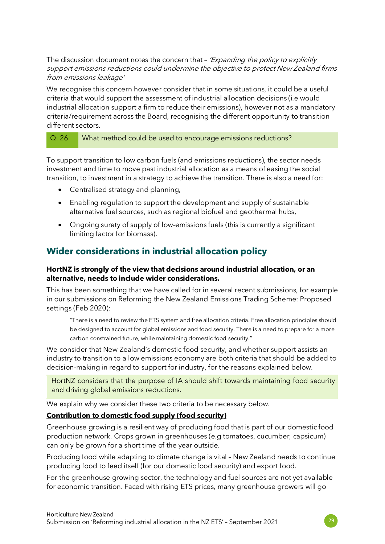The discussion document notes the concern that - 'Expanding the policy to explicitly support emissions reductions could undermine the objective to protect New Zealand firms from emissions leakage'

We recognise this concern however consider that in some situations, it could be a useful criteria that would support the assessment of industrial allocation decisions (i.e would industrial allocation support a firm to reduce their emissions), however not as a mandatory criteria/requirement across the Board, recognising the different opportunity to transition different sectors.

#### Q. 26 What method could be used to encourage emissions reductions?

To support transition to low carbon fuels (and emissions reductions), the sector needs investment and time to move past industrial allocation as a means of easing the social transition, to investment in a strategy to achieve the transition. There is also a need for:

- Centralised strategy and planning,
- Enabling regulation to support the development and supply of sustainable alternative fuel sources, such as regional biofuel and geothermal hubs,
- Ongoing surety of supply of low-emissions fuels (this is currently a significant limiting factor for biomass).

### **Wider considerations in industrial allocation policy**

#### **HortNZ is strongly of the view that decisions around industrial allocation, or an alternative, needs to include wider considerations.**

This has been something that we have called for in several recent submissions, for example in our submissions on Reforming the New Zealand Emissions Trading Scheme: Proposed settings (Feb 2020):

"There is a need to review the ETS system and free allocation criteria. Free allocation principles should be designed to account for global emissions and food security. There is a need to prepare for a more carbon constrained future, while maintaining domestic food security."

We consider that New Zealand's domestic food security, and whether support assists an industry to transition to a low emissions economy are both criteria that should be added to decision-making in regard to support for industry, for the reasons explained below.

HortNZ considers that the purpose of IA should shift towards maintaining food security and driving global emissions reductions.

We explain why we consider these two criteria to be necessary below.

#### **Contribution to domestic food supply (food security)**

Greenhouse growing is a resilient way of producing food that is part of our domestic food production network. Crops grown in greenhouses (e.g tomatoes, cucumber, capsicum) can only be grown for a short time of the year outside.

Producing food while adapting to climate change is vital – New Zealand needs to continue producing food to feed itself (for our domestic food security) and export food.

For the greenhouse growing sector, the technology and fuel sources are not yet available for economic transition. Faced with rising ETS prices, many greenhouse growers will go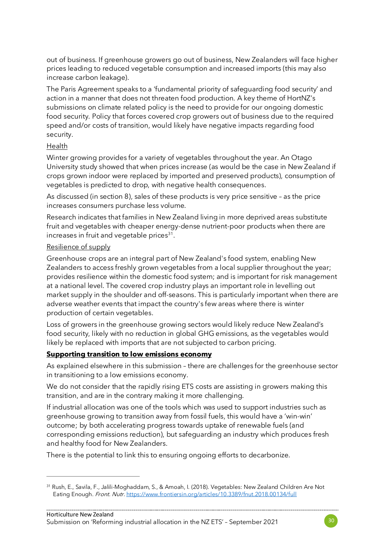out of business. If greenhouse growers go out of business, New Zealanders will face higher prices leading to reduced vegetable consumption and increased imports (this may also increase carbon leakage).

The Paris Agreement speaks to a 'fundamental priority of safeguarding food security' and action in a manner that does not threaten food production. A key theme of HortNZ's submissions on climate related policy is the need to provide for our ongoing domestic food security. Policy that forces covered crop growers out of business due to the required speed and/or costs of transition, would likely have negative impacts regarding food security.

#### Health

Winter growing provides for a variety of vegetables throughout the year. An Otago University study showed that when prices increase (as would be the case in New Zealand if crops grown indoor were replaced by imported and preserved products), consumption of vegetables is predicted to drop, with negative health consequences.

As discussed (in section 8), sales of these products is very price sensitive – as the price increases consumers purchase less volume.

Research indicates that families in New Zealand living in more deprived areas substitute fruit and vegetables with cheaper energy-dense nutrient-poor products when there are increases in fruit and vegetable prices $31$ .

#### Resilience of supply

Greenhouse crops are an integral part of New Zealand's food system, enabling New Zealanders to access freshly grown vegetables from a local supplier throughout the year; provides resilience within the domestic food system; and is important for risk management at a national level. The covered crop industry plays an important role in levelling out market supply in the shoulder and off-seasons. This is particularly important when there are adverse weather events that impact the country's few areas where there is winter production of certain vegetables.

Loss of growers in the greenhouse growing sectors would likely reduce New Zealand's food security, likely with no reduction in global GHG emissions, as the vegetables would likely be replaced with imports that are not subjected to carbon pricing.

#### **Supporting transition to low emissions economy**

As explained elsewhere in this submission – there are challenges for the greenhouse sector in transitioning to a low emissions economy.

We do not consider that the rapidly rising ETS costs are assisting in growers making this transition, and are in the contrary making it more challenging.

If industrial allocation was one of the tools which was used to support industries such as greenhouse growing to transition away from fossil fuels, this would have a 'win-win' outcome; by both accelerating progress towards uptake of renewable fuels (and corresponding emissions reduction), but safeguarding an industry which produces fresh and healthy food for New Zealanders.

There is the potential to link this to ensuring ongoing efforts to decarbonize.



<span id="page-29-0"></span><sup>31</sup> Rush, E., Savila, F., Jalili-Moghaddam, S., & Amoah, I. (2018). Vegetables: New Zealand Children Are Not Eating Enough. Front. Nutr. <https://www.frontiersin.org/articles/10.3389/fnut.2018.00134/full>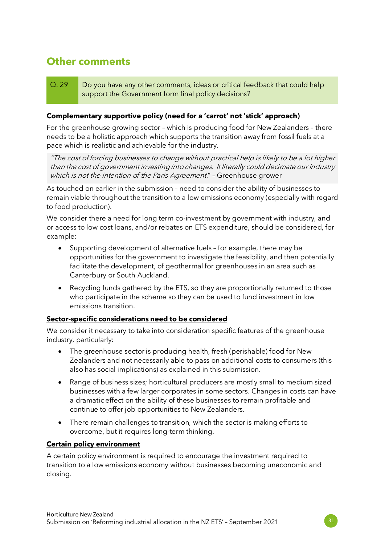## **Other comments**

#### Q. 29 Do you have any other comments, ideas or critical feedback that could help support the Government form final policy decisions?

#### **Complementary supportive policy (need for a 'carrot' not 'stick' approach)**

For the greenhouse growing sector – which is producing food for New Zealanders – there needs to be a holistic approach which supports the transition away from fossil fuels at a pace which is realistic and achievable for the industry.

"The cost of forcing businesses to change without practical help is likely to be a lot higher than the cost of government investing into changes. It literally could decimate our industry which is not the intention of the Paris Agreement." - Greenhouse grower

As touched on earlier in the submission – need to consider the ability of businesses to remain viable throughout the transition to a low emissions economy (especially with regard to food production).

We consider there a need for long term co-investment by government with industry, and or access to low cost loans, and/or rebates on ETS expenditure, should be considered, for example:

- Supporting development of alternative fuels for example, there may be opportunities for the government to investigate the feasibility, and then potentially facilitate the development, of geothermal for greenhouses in an area such as Canterbury or South Auckland.
- Recycling funds gathered by the ETS, so they are proportionally returned to those who participate in the scheme so they can be used to fund investment in low emissions transition.

#### **Sector-specific considerations need to be considered**

We consider it necessary to take into consideration specific features of the greenhouse industry, particularly:

- The greenhouse sector is producing health, fresh (perishable) food for New Zealanders and not necessarily able to pass on additional costs to consumers (this also has social implications) as explained in this submission.
- Range of business sizes; horticultural producers are mostly small to medium sized businesses with a few larger corporates in some sectors. Changes in costs can have a dramatic effect on the ability of these businesses to remain profitable and continue to offer job opportunities to New Zealanders.
- There remain challenges to transition, which the sector is making efforts to overcome, but it requires long-term thinking.

#### **Certain policy environment**

A certain policy environment is required to encourage the investment required to transition to a low emissions economy without businesses becoming uneconomic and closing.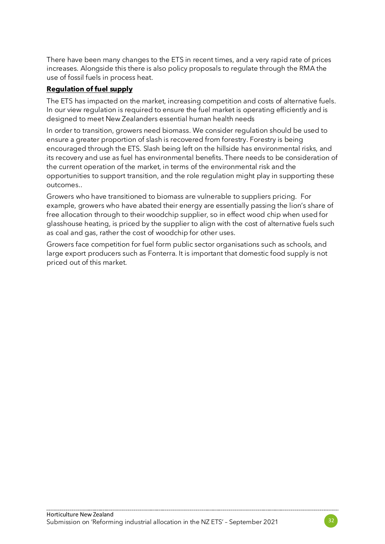There have been many changes to the ETS in recent times, and a very rapid rate of prices increases. Alongside this there is also policy proposals to regulate through the RMA the use of fossil fuels in process heat.

#### **Regulation of fuel supply**

The ETS has impacted on the market, increasing competition and costs of alternative fuels. In our view regulation is required to ensure the fuel market is operating efficiently and is designed to meet New Zealanders essential human health needs

In order to transition, growers need biomass. We consider regulation should be used to ensure a greater proportion of slash is recovered from forestry. Forestry is being encouraged through the ETS. Slash being left on the hillside has environmental risks, and its recovery and use as fuel has environmental benefits. There needs to be consideration of the current operation of the market, in terms of the environmental risk and the opportunities to support transition, and the role regulation might play in supporting these outcomes..

Growers who have transitioned to biomass are vulnerable to suppliers pricing. For example, growers who have abated their energy are essentially passing the lion's share of free allocation through to their woodchip supplier, so in effect wood chip when used for glasshouse heating, is priced by the supplier to align with the cost of alternative fuels such as coal and gas, rather the cost of woodchip for other uses.

Growers face competition for fuel form public sector organisations such as schools, and large export producers such as Fonterra. It is important that domestic food supply is not priced out of this market.

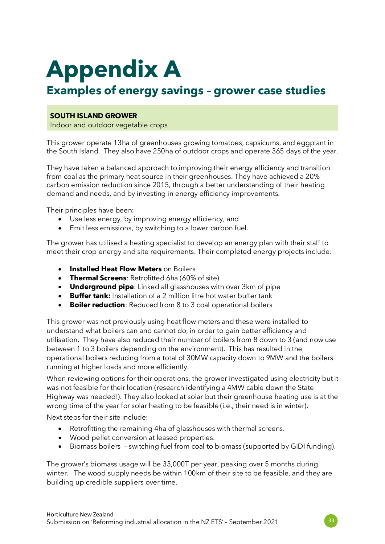## **Appendix A**

## **Examples of energy savings – grower case studies**

#### **SOUTH ISLAND GROWER**

Indoor and outdoor vegetable crops

This grower operate 13ha of greenhouses growing tomatoes, capsicums, and eggplant in the South Island. They also have 250ha of outdoor crops and operate 365 days of the year.

They have taken a balanced approach to improving their energy efficiency and transition from coal as the primary heat source in their greenhouses. They have achieved a 20% carbon emission reduction since 2015, through a better understanding of their heating demand and needs, and by investing in energy efficiency improvements.

Their principles have been:

- Use less energy, by improving energy efficiency, and
- Emit less emissions, by switching to a lower carbon fuel.

The grower has utilised a heating specialist to develop an energy plan with their staff to meet their crop energy and site requirements. Their completed energy projects include:

- **Installed Heat Flow Meters** on Boilers
- **Thermal Screens**: Retrofitted 6ha (60% of site)
- **Underground pipe**: Linked all glasshouses with over 3km of pipe
- **Buffer tank:** Installation of a 2 million litre hot water buffer tank
- **Boiler reduction**: Reduced from 8 to 3 coal operational boilers

This grower was not previously using heat flow meters and these were installed to understand what boilers can and cannot do, in order to gain better efficiency and utilisation. They have also reduced their number of boilers from 8 down to 3 (and now use between 1 to 3 boilers depending on the environment). This has resulted in the operational boilers reducing from a total of 30MW capacity down to 9MW and the boilers running at higher loads and more efficiently.

When reviewing options for their operations, the grower investigated using electricity but it was not feasible for their location (research identifying a 4MW cable down the State Highway was needed!). They also looked at solar but their greenhouse heating use is at the wrong time of the year for solar heating to be feasible (i.e., their need is in winter).

Next steps for their site include:

- Retrofitting the remaining 4ha of glasshouses with thermal screens.
- Wood pellet conversion at leased properties.
- Biomass boilers switching fuel from coal to biomass (supported by GIDI funding).

The grower's biomass usage will be 33,000T per year, peaking over 5 months during winter. The wood supply needs be within 100km of their site to be feasible, and they are building up credible suppliers over time.

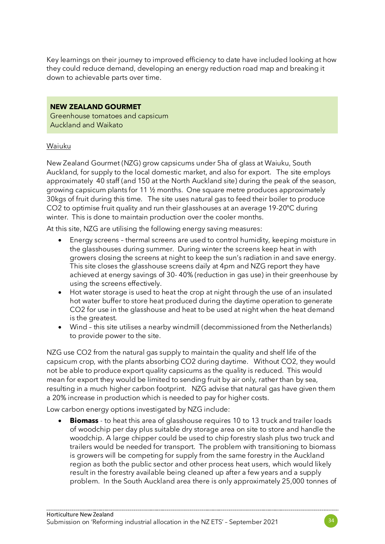Key learnings on their journey to improved efficiency to date have included looking at how they could reduce demand, developing an energy reduction road map and breaking it down to achievable parts over time.

#### **NEW ZEALAND GOURMET**

Greenhouse tomatoes and capsicum Auckland and Waikato

#### Waiuku

New Zealand Gourmet (NZG) grow capsicums under 5ha of glass at Waiuku, South Auckland, for supply to the local domestic market, and also for export. The site employs approximately 40 staff (and 150 at the North Auckland site) during the peak of the season, growing capsicum plants for 11 ½ months. One square metre produces approximately 30kgs of fruit during this time. The site uses natural gas to feed their boiler to produce CO2 to optimise fruit quality and run their glasshouses at an average 19-20ºC during winter. This is done to maintain production over the cooler months.

At this site, NZG are utilising the following energy saving measures:

- Energy screens thermal screens are used to control humidity, keeping moisture in the glasshouses during summer. During winter the screens keep heat in with growers closing the screens at night to keep the sun's radiation in and save energy. This site closes the glasshouse screens daily at 4pm and NZG report they have achieved at energy savings of 30- 40% (reduction in gas use) in their greenhouse by using the screens effectively.
- Hot water storage is used to heat the crop at night through the use of an insulated hot water buffer to store heat produced during the daytime operation to generate CO2 for use in the glasshouse and heat to be used at night when the heat demand is the greatest.
- Wind this site utilises a nearby windmill (decommissioned from the Netherlands) to provide power to the site.

NZG use CO2 from the natural gas supply to maintain the quality and shelf life of the capsicum crop, with the plants absorbing CO2 during daytime. Without CO2, they would not be able to produce export quality capsicums as the quality is reduced. This would mean for export they would be limited to sending fruit by air only, rather than by sea, resulting in a much higher carbon footprint. NZG advise that natural gas have given them a 20% increase in production which is needed to pay for higher costs.

Low carbon energy options investigated by NZG include:

• **Biomass** - to heat this area of glasshouse requires 10 to 13 truck and trailer loads of woodchip per day plus suitable dry storage area on site to store and handle the woodchip. A large chipper could be used to chip forestry slash plus two truck and trailers would be needed for transport. The problem with transitioning to biomass is growers will be competing for supply from the same forestry in the Auckland region as both the public sector and other process heat users, which would likely result in the forestry available being cleaned up after a few years and a supply problem. In the South Auckland area there is only approximately 25,000 tonnes of

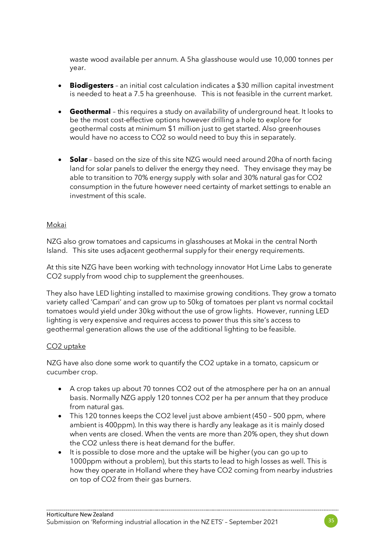waste wood available per annum. A 5ha glasshouse would use 10,000 tonnes per year.

- **Biodigesters** an initial cost calculation indicates a \$30 million capital investment is needed to heat a 7.5 ha greenhouse. This is not feasible in the current market.
- **Geothermal**  this requires a study on availability of underground heat. It looks to be the most cost-effective options however drilling a hole to explore for geothermal costs at minimum \$1 million just to get started. Also greenhouses would have no access to CO2 so would need to buy this in separately.
- **Solar** based on the size of this site NZG would need around 20ha of north facing land for solar panels to deliver the energy they need. They envisage they may be able to transition to 70% energy supply with solar and 30% natural gas for CO2 consumption in the future however need certainty of market settings to enable an investment of this scale.

#### Mokai

NZG also grow tomatoes and capsicums in glasshouses at Mokai in the central North Island. This site uses adjacent geothermal supply for their energy requirements.

At this site NZG have been working with technology innovator Hot Lime Labs to generate CO2 supply from wood chip to supplement the greenhouses.

They also have LED lighting installed to maximise growing conditions. They grow a tomato variety called 'Campari' and can grow up to 50kg of tomatoes per plant vs normal cocktail tomatoes would yield under 30kg without the use of grow lights. However, running LED lighting is very expensive and requires access to power thus this site's access to geothermal generation allows the use of the additional lighting to be feasible.

#### CO2 uptake

NZG have also done some work to quantify the CO2 uptake in a tomato, capsicum or cucumber crop.

- A crop takes up about 70 tonnes CO2 out of the atmosphere per ha on an annual basis. Normally NZG apply 120 tonnes CO2 per ha per annum that they produce from natural gas.
- This 120 tonnes keeps the CO2 level just above ambient (450 500 ppm, where ambient is 400ppm). In this way there is hardly any leakage as it is mainly dosed when vents are closed. When the vents are more than 20% open, they shut down the CO2 unless there is heat demand for the buffer.
- It is possible to dose more and the uptake will be higher (you can go up to 1000ppm without a problem), but this starts to lead to high losses as well. This is how they operate in Holland where they have CO2 coming from nearby industries on top of CO2 from their gas burners.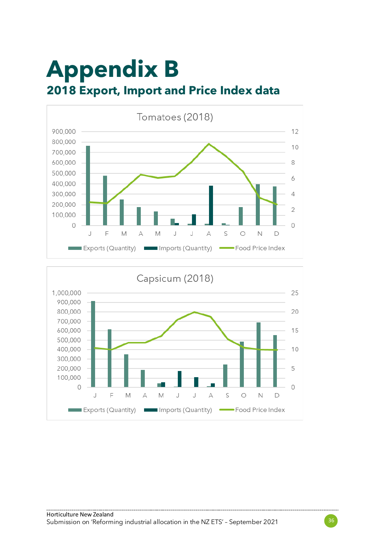## **Appendix B 2018 Export, Import and Price Index data**